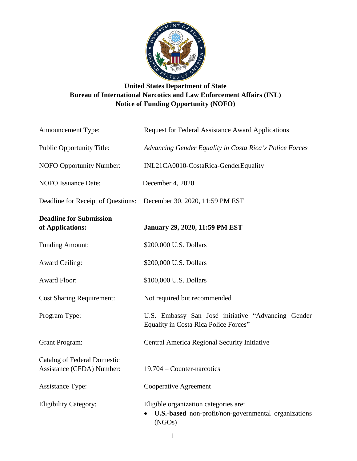

# **United States Department of State Bureau of International Narcotics and Law Enforcement Affairs (INL) Notice of Funding Opportunity (NOFO)**

| Announcement Type:                                              | <b>Request for Federal Assistance Award Applications</b>                                                |
|-----------------------------------------------------------------|---------------------------------------------------------------------------------------------------------|
| <b>Public Opportunity Title:</b>                                | Advancing Gender Equality in Costa Rica's Police Forces                                                 |
| NOFO Opportunity Number:                                        | INL21CA0010-CostaRica-GenderEquality                                                                    |
| <b>NOFO</b> Issuance Date:                                      | December 4, 2020                                                                                        |
| Deadline for Receipt of Questions:                              | December 30, 2020, 11:59 PM EST                                                                         |
| <b>Deadline for Submission</b><br>of Applications:              | <b>January 29, 2020, 11:59 PM EST</b>                                                                   |
| <b>Funding Amount:</b>                                          | \$200,000 U.S. Dollars                                                                                  |
| <b>Award Ceiling:</b>                                           | \$200,000 U.S. Dollars                                                                                  |
| <b>Award Floor:</b>                                             | \$100,000 U.S. Dollars                                                                                  |
| <b>Cost Sharing Requirement:</b>                                | Not required but recommended                                                                            |
| Program Type:                                                   | U.S. Embassy San José initiative "Advancing Gender<br>Equality in Costa Rica Police Forces"             |
| <b>Grant Program:</b>                                           | Central America Regional Security Initiative                                                            |
| <b>Catalog of Federal Domestic</b><br>Assistance (CFDA) Number: | 19.704 – Counter-narcotics                                                                              |
| <b>Assistance Type:</b>                                         | <b>Cooperative Agreement</b>                                                                            |
| <b>Eligibility Category:</b>                                    | Eligible organization categories are:<br>U.S.-based non-profit/non-governmental organizations<br>(NGOs) |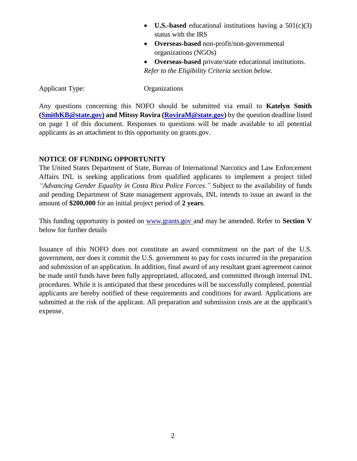- **U.S.-based** educational institutions having a 501(c)(3) status with the IRS
- **Overseas-based** non-profit/non-governmental organizations (NGOs)
- **Overseas-based** private/state educational institutions. *Refer to the Eligibility Criteria section below.*

Applicant Type: Organizations

Any questions concerning this NOFO should be submitted via email to **Katelyn Smith [\(SmithKB@state.gov\)](mailto:SmithKB@state.gov) and Mitssy Rovira [\(RoviraM@state.gov\)](mailto:RoviraM@state.gov)** by the question deadline listed on page 1 of this document. Responses to questions will be made available to all potential applicants as an attachment to this opportunity on grants.gov.

#### **NOTICE OF FUNDING OPPORTUNITY**

The United States Department of State, Bureau of International Narcotics and Law Enforcement Affairs INL is seeking applications from qualified applicants to implement a project titled *"Advancing Gender Equality in Costa Rica Police Forces."* Subject to the availability of funds and pending Department of State management approvals, INL intends to issue an award in the amount of **\$200,000** for an initial project period of **2 years**.

This funding opportunity is posted on www.grants.gov and may be amended. Refer to **Section V** below for further details

Issuance of this NOFO does not constitute an award commitment on the part of the U.S. government, nor does it commit the U.S. government to pay for costs incurred in the preparation and submission of an application. In addition, final award of any resultant grant agreement cannot be made until funds have been fully appropriated, allocated, and committed through internal INL procedures. While it is anticipated that these procedures will be successfully completed, potential applicants are hereby notified of these requirements and conditions for award. Applications are submitted at the risk of the applicant. All preparation and submission costs are at the applicant's expense.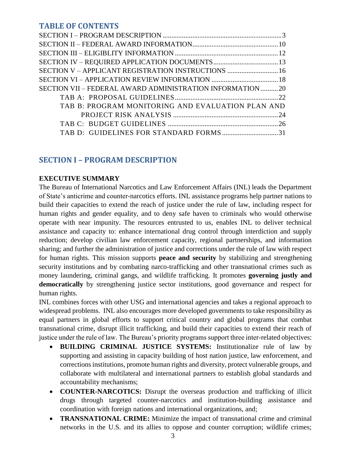# **TABLE OF CONTENTS**

| SECTION V - APPLICANT REGISTRATION INSTRUCTIONS  16       |  |
|-----------------------------------------------------------|--|
|                                                           |  |
| SECTION VII – FEDERAL AWARD ADMINISTRATION INFORMATION 20 |  |
|                                                           |  |
| TAB B: PROGRAM MONITORING AND EVALUATION PLAN AND         |  |
|                                                           |  |
|                                                           |  |
| TAB D: GUIDELINES FOR STANDARD FORMS31                    |  |
|                                                           |  |

# <span id="page-2-0"></span>**SECTION I – PROGRAM DESCRIPTION**

#### **EXECUTIVE SUMMARY**

The Bureau of International Narcotics and Law Enforcement Affairs (INL) leads the Department of State's anticrime and counter-narcotics efforts. INL assistance programs help partner nations to build their capacities to extend the reach of justice under the rule of law, including respect for human rights and gender equality, and to deny safe haven to criminals who would otherwise operate with near impunity. The resources entrusted to us, enables INL to deliver technical assistance and capacity to: enhance international drug control through interdiction and supply reduction; develop civilian law enforcement capacity, regional partnerships, and information sharing; and further the administration of justice and corrections under the rule of law with respect for human rights. This mission supports **peace and security** by stabilizing and strengthening security institutions and by combating narco-trafficking and other transnational crimes such as money laundering, criminal gangs, and wildlife trafficking. It promotes **governing justly and democratically** by strengthening justice sector institutions, good governance and respect for human rights.

INL combines forces with other USG and international agencies and takes a regional approach to widespread problems. INL also encourages more developed governments to take responsibility as equal partners in global efforts to support critical country and global programs that combat transnational crime, disrupt illicit trafficking, and build their capacities to extend their reach of justice under the rule of law. The Bureau's priority programs support three inter-related objectives:

- **BUILDING CRIMINAL JUSTICE SYSTEMS:** Institutionalize rule of law by supporting and assisting in capacity building of host nation justice, law enforcement, and corrections institutions, promote human rights and diversity, protect vulnerable groups, and collaborate with multilateral and international partners to establish global standards and accountability mechanisms;
- **COUNTER-NARCOTICS:** Disrupt the overseas production and trafficking of illicit drugs through targeted counter-narcotics and institution-building assistance and coordination with foreign nations and international organizations, and;
- **TRANSNATIONAL CRIME:** Minimize the impact of transnational crime and criminal networks in the U.S. and its allies to oppose and counter corruption; wildlife crimes;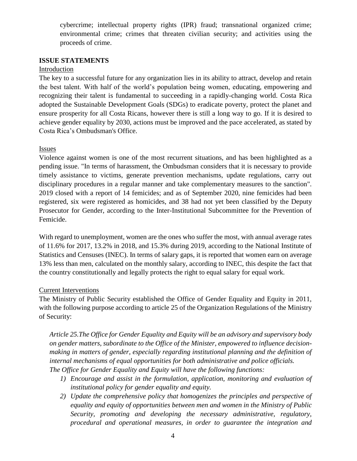cybercrime; intellectual property rights (IPR) fraud; transnational organized crime; environmental crime; crimes that threaten civilian security; and activities using the proceeds of crime.

#### **ISSUE STATEMENTS**

#### Introduction

The key to a successful future for any organization lies in its ability to attract, develop and retain the best talent. With half of the world's population being women, educating, empowering and recognizing their talent is fundamental to succeeding in a rapidly-changing world. Costa Rica adopted the Sustainable Development Goals (SDGs) to eradicate poverty, protect the planet and ensure prosperity for all Costa Ricans, however there is still a long way to go. If it is desired to achieve gender equality by 2030, actions must be improved and the pace accelerated, as stated by Costa Rica's Ombudsman's Office.

#### Issues

Violence against women is one of the most recurrent situations, and has been highlighted as a pending issue. "In terms of harassment, the Ombudsman considers that it is necessary to provide timely assistance to victims, generate prevention mechanisms, update regulations, carry out disciplinary procedures in a regular manner and take complementary measures to the sanction". 2019 closed with a report of 14 femicides; and as of September 2020, nine femicides had been registered, six were registered as homicides, and 38 had not yet been classified by the Deputy Prosecutor for Gender, according to the Inter-Institutional Subcommittee for the Prevention of Femicide.

With regard to unemployment, women are the ones who suffer the most, with annual average rates of 11.6% for 2017, 13.2% in 2018, and 15.3% during 2019, according to the National Institute of Statistics and Censuses (INEC). In terms of salary gaps, it is reported that women earn on average 13% less than men, calculated on the monthly salary, according to INEC, this despite the fact that the country constitutionally and legally protects the right to equal salary for equal work.

#### Current Interventions

The Ministry of Public Security established the Office of Gender Equality and Equity in 2011, with the following purpose according to article 25 of the Organization Regulations of the Ministry of Security:

*Article 25.The Office for Gender Equality and Equity will be an advisory and supervisory body on gender matters, subordinate to the Office of the Minister, empowered to influence decisionmaking in matters of gender, especially regarding institutional planning and the definition of internal mechanisms of equal opportunities for both administrative and police officials. The Office for Gender Equality and Equity will have the following functions:*

- *1) Encourage and assist in the formulation, application, monitoring and evaluation of institutional policy for gender equality and equity.*
- *2) Update the comprehensive policy that homogenizes the principles and perspective of equality and equity of opportunities between men and women in the Ministry of Public Security, promoting and developing the necessary administrative, regulatory, procedural and operational measures, in order to guarantee the integration and*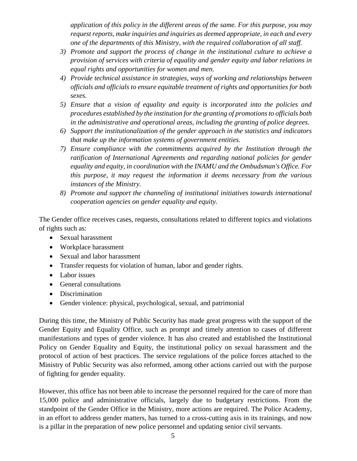*application of this policy in the different areas of the same. For this purpose, you may request reports, make inquiries and inquiries as deemed appropriate, in each and every one of the departments of this Ministry, with the required collaboration of all staff.*

- *3) Promote and support the process of change in the institutional culture to achieve a provision of services with criteria of equality and gender equity and labor relations in equal rights and opportunities for women and men.*
- *4) Provide technical assistance in strategies, ways of working and relationships between officials and officials to ensure equitable treatment of rights and opportunities for both sexes.*
- *5) Ensure that a vision of equality and equity is incorporated into the policies and procedures established by the institution for the granting of promotions to officials both in the administrative and operational areas, including the granting of police degrees.*
- *6) Support the institutionalization of the gender approach in the statistics and indicators that make up the information systems of government entities.*
- *7) Ensure compliance with the commitments acquired by the Institution through the ratification of International Agreements and regarding national policies for gender equality and equity, in coordination with the INAMU and the Ombudsman's Office. For this purpose, it may request the information it deems necessary from the various instances of the Ministry.*
- *8) Promote and support the channeling of institutional initiatives towards international cooperation agencies on gender equality and equity.*

The Gender office receives cases, requests, consultations related to different topics and violations of rights such as:

- Sexual harassment
- Workplace harassment
- Sexual and labor harassment
- Transfer requests for violation of human, labor and gender rights.
- Labor issues
- General consultations
- Discrimination
- Gender violence: physical, psychological, sexual, and patrimonial

During this time, the Ministry of Public Security has made great progress with the support of the Gender Equity and Equality Office, such as prompt and timely attention to cases of different manifestations and types of gender violence. It has also created and established the Institutional Policy on Gender Equality and Equity, the institutional policy on sexual harassment and the protocol of action of best practices. The service regulations of the police forces attached to the Ministry of Public Security was also reformed, among other actions carried out with the purpose of fighting for gender equality.

However, this office has not been able to increase the personnel required for the care of more than 15,000 police and administrative officials, largely due to budgetary restrictions. From the standpoint of the Gender Office in the Ministry, more actions are required. The Police Academy, in an effort to address gender matters, has turned to a cross-cutting axis in its trainings, and now is a pillar in the preparation of new police personnel and updating senior civil servants.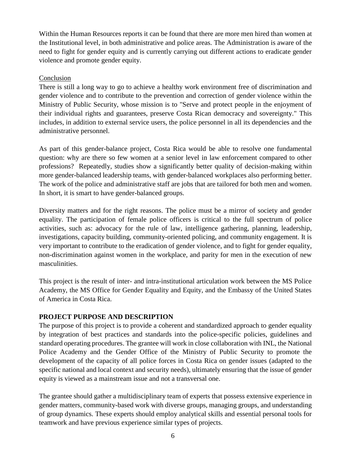Within the Human Resources reports it can be found that there are more men hired than women at the Institutional level, in both administrative and police areas. The Administration is aware of the need to fight for gender equity and is currently carrying out different actions to eradicate gender violence and promote gender equity.

#### Conclusion

There is still a long way to go to achieve a healthy work environment free of discrimination and gender violence and to contribute to the prevention and correction of gender violence within the Ministry of Public Security, whose mission is to "Serve and protect people in the enjoyment of their individual rights and guarantees, preserve Costa Rican democracy and sovereignty." This includes, in addition to external service users, the police personnel in all its dependencies and the administrative personnel.

As part of this gender-balance project, Costa Rica would be able to resolve one fundamental question: why are there so few women at a senior level in law enforcement compared to other professions? Repeatedly, studies show a significantly better quality of decision-making within more gender-balanced leadership teams, with gender-balanced workplaces also performing better. The work of the police and administrative staff are jobs that are tailored for both men and women. In short, it is smart to have gender-balanced groups.

Diversity matters and for the right reasons. The police must be a mirror of society and gender equality. The participation of female police officers is critical to the full spectrum of police activities, such as: advocacy for the rule of law, intelligence gathering, planning, leadership, investigations, capacity building, community-oriented policing, and community engagement. It is very important to contribute to the eradication of gender violence, and to fight for gender equality, non-discrimination against women in the workplace, and parity for men in the execution of new masculinities.

This project is the result of inter- and intra-institutional articulation work between the MS Police Academy, the MS Office for Gender Equality and Equity, and the Embassy of the United States of America in Costa Rica.

#### **PROJECT PURPOSE AND DESCRIPTION**

The purpose of this project is to provide a coherent and standardized approach to gender equality by integration of best practices and standards into the police-specific policies, guidelines and standard operating procedures. The grantee will work in close collaboration with INL, the National Police Academy and the Gender Office of the Ministry of Public Security to promote the development of the capacity of all police forces in Costa Rica on gender issues (adapted to the specific national and local context and security needs), ultimately ensuring that the issue of gender equity is viewed as a mainstream issue and not a transversal one.

The grantee should gather a multidisciplinary team of experts that possess extensive experience in gender matters, community-based work with diverse groups, managing groups, and understanding of group dynamics. These experts should employ analytical skills and essential personal tools for teamwork and have previous experience similar types of projects.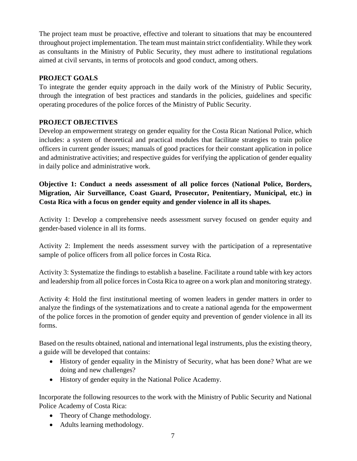The project team must be proactive, effective and tolerant to situations that may be encountered throughout project implementation. The team must maintain strict confidentiality. While they work as consultants in the Ministry of Public Security, they must adhere to institutional regulations aimed at civil servants, in terms of protocols and good conduct, among others.

# **PROJECT GOALS**

To integrate the gender equity approach in the daily work of the Ministry of Public Security, through the integration of best practices and standards in the policies, guidelines and specific operating procedures of the police forces of the Ministry of Public Security.

# **PROJECT OBJECTIVES**

Develop an empowerment strategy on gender equality for the Costa Rican National Police, which includes: a system of theoretical and practical modules that facilitate strategies to train police officers in current gender issues; manuals of good practices for their constant application in police and administrative activities; and respective guides for verifying the application of gender equality in daily police and administrative work.

**Objective 1: Conduct a needs assessment of all police forces (National Police, Borders, Migration, Air Surveillance, Coast Guard, Prosecutor, Penitentiary, Municipal, etc.) in Costa Rica with a focus on gender equity and gender violence in all its shapes.**

Activity 1: Develop a comprehensive needs assessment survey focused on gender equity and gender-based violence in all its forms.

Activity 2: Implement the needs assessment survey with the participation of a representative sample of police officers from all police forces in Costa Rica.

Activity 3: Systematize the findings to establish a baseline. Facilitate a round table with key actors and leadership from all police forces in Costa Rica to agree on a work plan and monitoring strategy.

Activity 4: Hold the first institutional meeting of women leaders in gender matters in order to analyze the findings of the systematizations and to create a national agenda for the empowerment of the police forces in the promotion of gender equity and prevention of gender violence in all its forms.

Based on the results obtained, national and international legal instruments, plus the existing theory, a guide will be developed that contains:

- History of gender equality in the Ministry of Security, what has been done? What are we doing and new challenges?
- History of gender equity in the National Police Academy.

Incorporate the following resources to the work with the Ministry of Public Security and National Police Academy of Costa Rica:

- Theory of Change methodology.
- Adults learning methodology.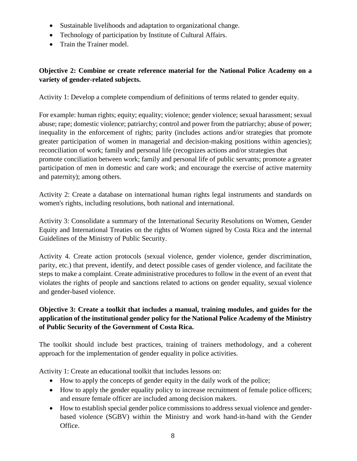- Sustainable livelihoods and adaptation to organizational change.
- Technology of participation by Institute of Cultural Affairs.
- Train the Trainer model.

# **Objective 2: Combine or create reference material for the National Police Academy on a variety of gender-related subjects.**

Activity 1: Develop a complete compendium of definitions of terms related to gender equity.

For example: human rights; equity; equality; violence; gender violence; sexual harassment; sexual abuse; rape; domestic violence; patriarchy; control and power from the patriarchy; abuse of power; inequality in the enforcement of rights; parity (includes actions and/or strategies that promote greater participation of women in managerial and decision-making positions within agencies); reconciliation of work; family and personal life (recognizes actions and/or strategies that promote conciliation between work; family and personal life of public servants; promote a greater participation of men in domestic and care work; and encourage the exercise of active maternity and paternity); among others.

Activity 2: Create a database on international human rights legal instruments and standards on women's rights, including resolutions, both national and international.

Activity 3: Consolidate a summary of the International Security Resolutions on Women, Gender Equity and International Treaties on the rights of Women signed by Costa Rica and the internal Guidelines of the Ministry of Public Security.

Activity 4. Create action protocols (sexual violence, gender violence, gender discrimination, parity, etc.) that prevent, identify, and detect possible cases of gender violence, and facilitate the steps to make a complaint. Create administrative procedures to follow in the event of an event that violates the rights of people and sanctions related to actions on gender equality, sexual violence and gender-based violence.

# **Objective 3: Create a toolkit that includes a manual, training modules, and guides for the application of the institutional gender policy for the National Police Academy of the Ministry of Public Security of the Government of Costa Rica.**

The toolkit should include best practices, training of trainers methodology, and a coherent approach for the implementation of gender equality in police activities.

Activity 1: Create an educational toolkit that includes lessons on:

- How to apply the concepts of gender equity in the daily work of the police;
- How to apply the gender equality policy to increase recruitment of female police officers; and ensure female officer are included among decision makers.
- How to establish special gender police commissions to address sexual violence and genderbased violence (SGBV) within the Ministry and work hand-in-hand with the Gender Office.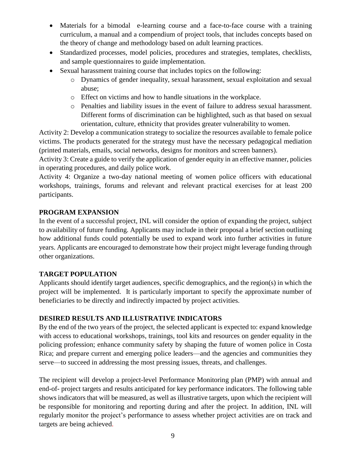- Materials for a bimodal e-learning course and a face-to-face course with a training curriculum, a manual and a compendium of project tools, that includes concepts based on the theory of change and methodology based on adult learning practices.
- Standardized processes, model policies, procedures and strategies, templates, checklists, and sample questionnaires to guide implementation.
- Sexual harassment training course that includes topics on the following:
	- o Dynamics of gender inequality, sexual harassment, sexual exploitation and sexual abuse;
	- o Effect on victims and how to handle situations in the workplace.
	- o Penalties and liability issues in the event of failure to address sexual harassment. Different forms of discrimination can be highlighted, such as that based on sexual orientation, culture, ethnicity that provides greater vulnerability to women.

Activity 2: Develop a communication strategy to socialize the resources available to female police victims. The products generated for the strategy must have the necessary pedagogical mediation (printed materials, emails, social networks, designs for monitors and screen banners).

Activity 3: Create a guide to verify the application of gender equity in an effective manner, policies in operating procedures, and daily police work.

Activity 4: Organize a two-day national meeting of women police officers with educational workshops, trainings, forums and relevant and relevant practical exercises for at least 200 participants.

# **PROGRAM EXPANSION**

In the event of a successful project, INL will consider the option of expanding the project, subject to availability of future funding. Applicants may include in their proposal a brief section outlining how additional funds could potentially be used to expand work into further activities in future years. Applicants are encouraged to demonstrate how their project might leverage funding through other organizations.

### **TARGET POPULATION**

Applicants should identify target audiences, specific demographics, and the region(s) in which the project will be implemented. It is particularly important to specify the approximate number of beneficiaries to be directly and indirectly impacted by project activities.

### **DESIRED RESULTS AND ILLUSTRATIVE INDICATORS**

By the end of the two years of the project, the selected applicant is expected to: expand knowledge with access to educational workshops, trainings, tool kits and resources on gender equality in the policing profession; enhance community safety by shaping the future of women police in Costa Rica; and prepare current and emerging police leaders—and the agencies and communities they serve—to succeed in addressing the most pressing issues, threats, and challenges.

The recipient will develop a project-level Performance Monitoring plan (PMP) with annual and end-of- project targets and results anticipated for key performance indicators. The following table shows indicators that will be measured, as well as illustrative targets, upon which the recipient will be responsible for monitoring and reporting during and after the project. In addition, INL will regularly monitor the project's performance to assess whether project activities are on track and targets are being achieved.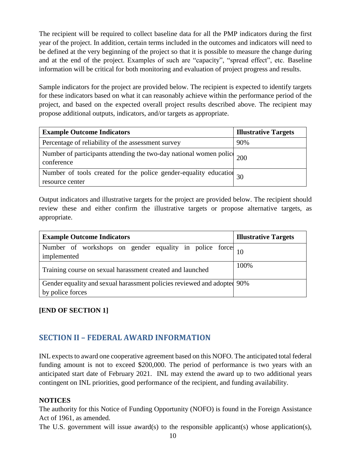The recipient will be required to collect baseline data for all the PMP indicators during the first year of the project. In addition, certain terms included in the outcomes and indicators will need to be defined at the very beginning of the project so that it is possible to measure the change during and at the end of the project. Examples of such are "capacity", "spread effect", etc. Baseline information will be critical for both monitoring and evaluation of project progress and results.

Sample indicators for the project are provided below. The recipient is expected to identify targets for these indicators based on what it can reasonably achieve within the performance period of the project, and based on the expected overall project results described above. The recipient may propose additional outputs, indicators, and/or targets as appropriate.

| <b>Example Outcome Indicators</b>                                                                | <b>Illustrative Targets</b> |
|--------------------------------------------------------------------------------------------------|-----------------------------|
| Percentage of reliability of the assessment survey                                               | 90%                         |
| Number of participants attending the two-day national women police $\frac{1}{200}$<br>conference |                             |
| Number of tools created for the police gender-equality education $30$<br>resource center         |                             |

Output indicators and illustrative targets for the project are provided below. The recipient should review these and either confirm the illustrative targets or propose alternative targets, as appropriate.

| <b>Example Outcome Indicators</b>                                                                        | <b>Illustrative Targets</b> |
|----------------------------------------------------------------------------------------------------------|-----------------------------|
| Number of workshops on gender equality in police force $\begin{bmatrix} 10 \end{bmatrix}$<br>implemented |                             |
| Training course on sexual harassment created and launched                                                | 100%                        |
| Gender equality and sexual harassment policies reviewed and adopted 90%                                  |                             |
| by police forces                                                                                         |                             |

# **[END OF SECTION 1]**

# <span id="page-9-0"></span>**SECTION II – FEDERAL AWARD INFORMATION**

INL expects to award one cooperative agreement based on this NOFO. The anticipated total federal funding amount is not to exceed \$200,000. The period of performance is two years with an anticipated start date of February 2021. INL may extend the award up to two additional years contingent on INL priorities, good performance of the recipient, and funding availability.

### **NOTICES**

The authority for this Notice of Funding Opportunity (NOFO) is found in the Foreign Assistance Act of 1961, as amended.

The U.S. government will issue award(s) to the responsible applicant(s) whose application(s),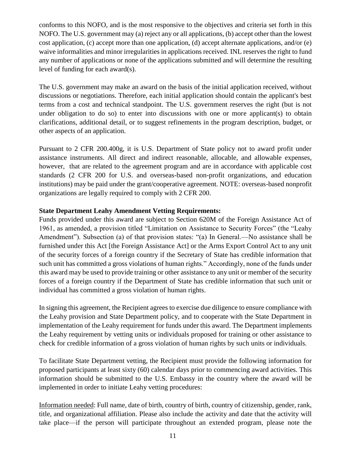conforms to this NOFO, and is the most responsive to the objectives and criteria set forth in this NOFO. The U.S. government may (a) reject any or all applications, (b) accept other than the lowest cost application, (c) accept more than one application, (d) accept alternate applications, and/or (e) waive informalities and minor irregularities in applications received. INL reserves the right to fund any number of applications or none of the applications submitted and will determine the resulting level of funding for each award(s).

The U.S. government may make an award on the basis of the initial application received, without discussions or negotiations. Therefore, each initial application should contain the applicant's best terms from a cost and technical standpoint. The U.S. government reserves the right (but is not under obligation to do so) to enter into discussions with one or more applicant(s) to obtain clarifications, additional detail, or to suggest refinements in the program description, budget, or other aspects of an application.

Pursuant to 2 CFR 200.400g, it is U.S. Department of State policy not to award profit under assistance instruments. All direct and indirect reasonable, allocable, and allowable expenses, however, that are related to the agreement program and are in accordance with applicable cost standards (2 CFR 200 for U.S. and overseas-based non-profit organizations, and education institutions) may be paid under the grant/cooperative agreement. NOTE: overseas-based nonprofit organizations are legally required to comply with 2 CFR 200.

#### **State Department Leahy Amendment Vetting Requirements:**

Funds provided under this award are subject to Section 620M of the Foreign Assistance Act of 1961, as amended, a provision titled "Limitation on Assistance to Security Forces" (the "Leahy Amendment"). Subsection (a) of that provision states: "(a) In General.—No assistance shall be furnished under this Act [the Foreign Assistance Act] or the Arms Export Control Act to any unit of the security forces of a foreign country if the Secretary of State has credible information that such unit has committed a gross violations of human rights." Accordingly, none of the funds under this award may be used to provide training or other assistance to any unit or member of the security forces of a foreign country if the Department of State has credible information that such unit or individual has committed a gross violation of human rights.

In signing this agreement, the Recipient agrees to exercise due diligence to ensure compliance with the Leahy provision and State Department policy, and to cooperate with the State Department in implementation of the Leahy requirement for funds under this award. The Department implements the Leahy requirement by vetting units or individuals proposed for training or other assistance to check for credible information of a gross violation of human rights by such units or individuals.

To facilitate State Department vetting, the Recipient must provide the following information for proposed participants at least sixty (60) calendar days prior to commencing award activities. This information should be submitted to the U.S. Embassy in the country where the award will be implemented in order to initiate Leahy vetting procedures:

Information needed: Full name, date of birth, country of birth, country of citizenship, gender, rank, title, and organizational affiliation. Please also include the activity and date that the activity will take place—if the person will participate throughout an extended program, please note the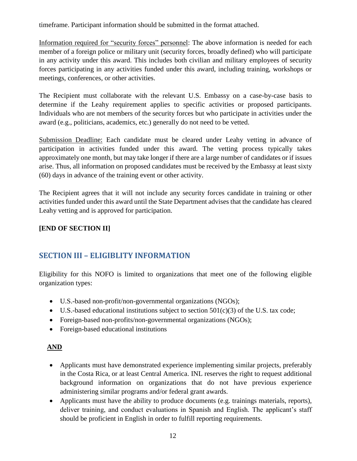timeframe. Participant information should be submitted in the format attached.

Information required for "security forces" personnel: The above information is needed for each member of a foreign police or military unit (security forces, broadly defined) who will participate in any activity under this award. This includes both civilian and military employees of security forces participating in any activities funded under this award, including training, workshops or meetings, conferences, or other activities.

The Recipient must collaborate with the relevant U.S. Embassy on a case-by-case basis to determine if the Leahy requirement applies to specific activities or proposed participants. Individuals who are not members of the security forces but who participate in activities under the award (e.g., politicians, academics, etc.) generally do not need to be vetted.

Submission Deadline: Each candidate must be cleared under Leahy vetting in advance of participation in activities funded under this award. The vetting process typically takes approximately one month, but may take longer if there are a large number of candidates or if issues arise. Thus, all information on proposed candidates must be received by the Embassy at least sixty (60) days in advance of the training event or other activity.

The Recipient agrees that it will not include any security forces candidate in training or other activities funded under this award until the State Department advises that the candidate has cleared Leahy vetting and is approved for participation.

# **[END OF SECTION II]**

# <span id="page-11-0"></span>**SECTION III – ELIGIBLITY INFORMATION**

Eligibility for this NOFO is limited to organizations that meet one of the following eligible organization types:

- U.S.-based non-profit/non-governmental organizations (NGOs);
- $\bullet$  U.S.-based educational institutions subject to section 501(c)(3) of the U.S. tax code;
- Foreign-based non-profits/non-governmental organizations (NGOs);
- Foreign-based educational institutions

### **AND**

- Applicants must have demonstrated experience implementing similar projects, preferably in the Costa Rica, or at least Central America. INL reserves the right to request additional background information on organizations that do not have previous experience administering similar programs and/or federal grant awards.
- Applicants must have the ability to produce documents (e.g. trainings materials, reports), deliver training, and conduct evaluations in Spanish and English. The applicant's staff should be proficient in English in order to fulfill reporting requirements.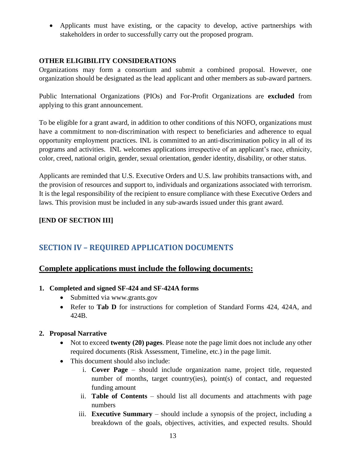Applicants must have existing, or the capacity to develop, active partnerships with stakeholders in order to successfully carry out the proposed program.

#### **OTHER ELIGIBILITY CONSIDERATIONS**

Organizations may form a consortium and submit a combined proposal. However, one organization should be designated as the lead applicant and other members as sub-award partners.

Public International Organizations (PIOs) and For-Profit Organizations are **excluded** from applying to this grant announcement.

To be eligible for a grant award, in addition to other conditions of this NOFO, organizations must have a commitment to non-discrimination with respect to beneficiaries and adherence to equal opportunity employment practices. INL is committed to an anti-discrimination policy in all of its programs and activities. INL welcomes applications irrespective of an applicant's race, ethnicity, color, creed, national origin, gender, sexual orientation, gender identity, disability, or other status.

Applicants are reminded that U.S. Executive Orders and U.S. law prohibits transactions with, and the provision of resources and support to, individuals and organizations associated with terrorism. It is the legal responsibility of the recipient to ensure compliance with these Executive Orders and laws. This provision must be included in any sub‐awards issued under this grant award.

### **[END OF SECTION III]**

# <span id="page-12-0"></span>**SECTION IV – REQUIRED APPLICATION DOCUMENTS**

### **Complete applications must include the following documents:**

#### **1. Completed and signed SF-424 and SF-424A forms**

- Submitted via www.grants.gov
- Refer to **Tab D** for instructions for completion of Standard Forms 424, 424A, and 424B.

#### **2. Proposal Narrative**

- Not to exceed **twenty (20) pages**. Please note the page limit does not include any other required documents (Risk Assessment, Timeline, etc.) in the page limit.
- This document should also include:
	- i. **Cover Page** should include organization name, project title, requested number of months, target country(ies), point(s) of contact, and requested funding amount
	- ii. **Table of Contents** should list all documents and attachments with page numbers
	- iii. **Executive Summary** should include a synopsis of the project, including a breakdown of the goals, objectives, activities, and expected results. Should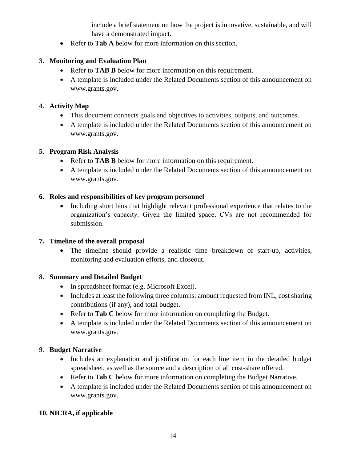include a brief statement on how the project is innovative, sustainable, and will have a demonstrated impact.

• Refer to **Tab A** below for more information on this section.

### **3. Monitoring and Evaluation Plan**

- Refer to **TAB B** below for more information on this requirement.
- A template is included under the Related Documents section of this announcement on www.grants.gov.

#### **4. Activity Map**

- This document connects goals and objectives to activities, outputs, and outcomes.
- A template is included under the Related Documents section of this announcement on www.grants.gov.

#### **5. Program Risk Analysis**

- Refer to **TAB B** below for more information on this requirement.
- A template is included under the Related Documents section of this announcement on www.grants.gov.

#### **6. Roles and responsibilities of key program personnel**

 Including short bios that highlight relevant professional experience that relates to the organization's capacity. Given the limited space, CVs are not recommended for submission.

#### **7. Timeline of the overall proposal**

 The timeline should provide a realistic time breakdown of start-up, activities, monitoring and evaluation efforts, and closeout.

### **8. Summary and Detailed Budget**

- In spreadsheet format (e.g. Microsoft Excel).
- Includes at least the following three columns: amount requested from INL, cost sharing contributions (if any), and total budget.
- Refer to **Tab C** below for more information on completing the Budget.
- A template is included under the Related Documents section of this announcement on www.grants.gov.

### **9. Budget Narrative**

- Includes an explanation and justification for each line item in the detailed budget spreadsheet, as well as the source and a description of all cost-share offered.
- Refer to **Tab C** below for more information on completing the Budget Narrative.
- A template is included under the Related Documents section of this announcement on www.grants.gov.

### **10. NICRA, if applicable**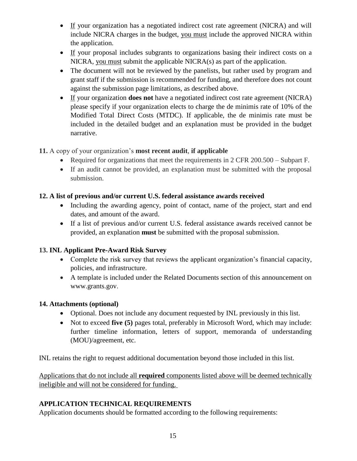- If your organization has a negotiated indirect cost rate agreement (NICRA) and will include NICRA charges in the budget, you must include the approved NICRA within the application.
- If your proposal includes subgrants to organizations basing their indirect costs on a NICRA, you must submit the applicable NICRA(s) as part of the application.
- The document will not be reviewed by the panelists, but rather used by program and grant staff if the submission is recommended for funding, and therefore does not count against the submission page limitations, as described above.
- If your organization **does not** have a negotiated indirect cost rate agreement (NICRA) please specify if your organization elects to charge the de minimis rate of 10% of the Modified Total Direct Costs (MTDC). If applicable, the de minimis rate must be included in the detailed budget and an explanation must be provided in the budget narrative.

# **11.** A copy of your organization's **most recent audit**, **if applicable**

- Required for organizations that meet the requirements in 2 CFR 200.500 Subpart F.
- If an audit cannot be provided, an explanation must be submitted with the proposal submission.

# **12. A list of previous and/or current U.S. federal assistance awards received**

- Including the awarding agency, point of contact, name of the project, start and end dates, and amount of the award.
- If a list of previous and/or current U.S. federal assistance awards received cannot be provided, an explanation **must** be submitted with the proposal submission.

# **13. INL Applicant Pre-Award Risk Survey**

- Complete the risk survey that reviews the applicant organization's financial capacity, policies, and infrastructure.
- A template is included under the Related Documents section of this announcement on www.grants.gov.

# **14. Attachments (optional)**

- Optional. Does not include any document requested by INL previously in this list.
- Not to exceed **five (5)** pages total, preferably in Microsoft Word, which may include: further timeline information, letters of support, memoranda of understanding (MOU)/agreement, etc.

INL retains the right to request additional documentation beyond those included in this list.

Applications that do not include all **required** components listed above will be deemed technically ineligible and will not be considered for funding.

# **APPLICATION TECHNICAL REQUIREMENTS**

Application documents should be formatted according to the following requirements: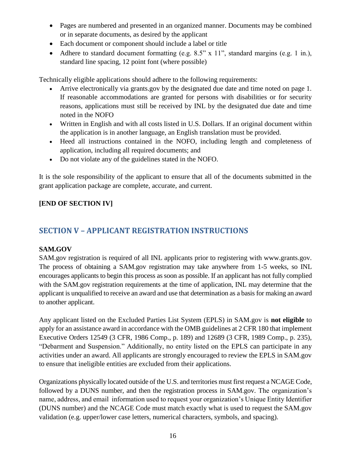- Pages are numbered and presented in an organized manner. Documents may be combined or in separate documents, as desired by the applicant
- Each document or component should include a label or title
- Adhere to standard document formatting (e.g. 8.5" x 11", standard margins (e.g. 1 in.), standard line spacing, 12 point font (where possible)

Technically eligible applications should adhere to the following requirements:

- Arrive electronically via grants.gov by the designated due date and time noted on page 1. If reasonable accommodations are granted for persons with disabilities or for security reasons, applications must still be received by INL by the designated due date and time noted in the NOFO
- Written in English and with all costs listed in U.S. Dollars. If an original document within the application is in another language, an English translation must be provided.
- Heed all instructions contained in the NOFO, including length and completeness of application, including all required documents; and
- Do not violate any of the guidelines stated in the NOFO.

It is the sole responsibility of the applicant to ensure that all of the documents submitted in the grant application package are complete, accurate, and current.

# **[END OF SECTION IV]**

# <span id="page-15-0"></span>**SECTION V – APPLICANT REGISTRATION INSTRUCTIONS**

### **SAM.GOV**

SAM.gov registration is required of all INL applicants prior to registering with www.grants.gov. The process of obtaining a SAM.gov registration may take anywhere from 1-5 weeks, so INL encourages applicants to begin this process as soon as possible. If an applicant has not fully complied with the SAM.gov registration requirements at the time of application, INL may determine that the applicant is unqualified to receive an award and use that determination as a basis for making an award to another applicant.

Any applicant listed on the Excluded Parties List System (EPLS) in SAM.gov is **not eligible** to apply for an assistance award in accordance with the OMB guidelines at 2 CFR 180 that implement Executive Orders 12549 (3 CFR, 1986 Comp., p. 189) and 12689 (3 CFR, 1989 Comp., p. 235), "Debarment and Suspension." Additionally, no entity listed on the EPLS can participate in any activities under an award. All applicants are strongly encouraged to review the EPLS in SAM.gov to ensure that ineligible entities are excluded from their applications.

Organizations physically located outside of the U.S. and territories must first request a NCAGE Code, followed by a DUNS number, and then the registration process in SAM.gov. The organization's name, address, and email information used to request your organization's Unique Entity Identifier (DUNS number) and the NCAGE Code must match exactly what is used to request the SAM.gov validation (e.g. upper/lower case letters, numerical characters, symbols, and spacing).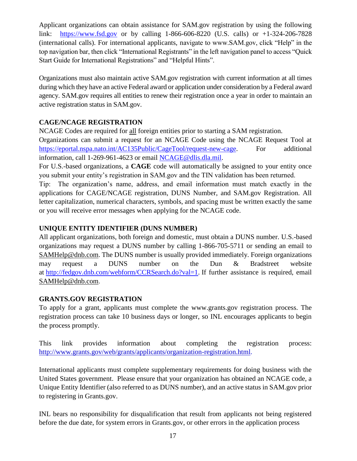Applicant organizations can obtain assistance for SAM.gov registration by using the following link: https:/[/www.fsd.gov](http://www.fsd.gov/) or by calling 1-866-606-8220 (U.S. calls) or +1-324-206-7828 (international calls). For international applicants, navigate to www.SAM.gov, click "Help" in the top navigation bar, then click "International Registrants" in the left navigation panel to access "Quick Start Guide for International Registrations" and "Helpful Hints".

Organizations must also maintain active SAM.gov registration with current information at all times during which they have an active Federal award or application under consideration by a Federal award agency. SAM.gov requires all entities to renew their registration once a year in order to maintain an active registration status in SAM.gov.

# **CAGE/NCAGE REGISTRATION**

NCAGE Codes are required for all foreign entities prior to starting a SAM registration.

Organizations can submit a request for an NCAGE Code using the NCAGE Request Tool at [https://eportal.nspa.nato.int/AC135Public/CageTool/request-new-cage.](https://eportal.nspa.nato.int/AC135Public/CageTool/request-new-cage) For additional information, call 1-269-961-4623 or email [NCAGE@dlis.dla.mil.](mailto:NCAGE@dlis.dla.mil)

For U.S.-based organizations, a **CAGE** code will automatically be assigned to your entity once you submit your entity's registration in SAM.gov and the TIN validation has been returned.

Tip: The organization's name, address, and email information must match exactly in the applications for CAGE/NCAGE registration, DUNS Number, and SAM.gov Registration. All letter capitalization, numerical characters, symbols, and spacing must be written exactly the same or you will receive error messages when applying for the NCAGE code.

# **[UNIQUE ENTITY IDENTIFIER \(DUNS NUMBER\)](http://www.grants.gov/web/grants/applicants/organization-registration/step-1-obtain-duns-number.html)**

All applicant organizations, both foreign and domestic, must obtain a DUNS number. U.S.-based organizations may request a DUNS number by calling 1-866-705-5711 or sending an email to SAMHelp@dnb.com. The DUNS number is usually provided immediately. Foreign organizations may request a DUNS number on the Dun & Bradstreet website at [http://fedgov.dnb.com/webform/CCRSearch.do?val=1.](http://fedgov.dnb.com/webform/CCRSearch.do?val=1) If further assistance is required, email SAMHelp@dnb.com.

### **GRANTS.GOV REGISTRATION**

To apply for a grant, applicants must complete the www.grants.gov registration process. The registration process can take 10 business days or longer, so INL encourages applicants to begin the process promptly.

This link provides information about completing the registration process: http://www.grants.gov/web/grants/applicants/organization-registration.html.

International applicants must complete supplementary requirements for doing business with the United States government. Please ensure that your organization has obtained an NCAGE code, a Unique Entity Identifier (also referred to as DUNS number), and an active status in SAM.gov prior to registering in Grants.gov.

INL bears no responsibility for disqualification that result from applicants not being registered before the due date, for system errors in Grants.gov, or other errors in the application process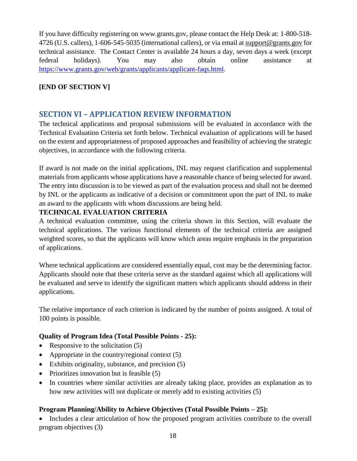If you have difficulty registering on [www.grants.gov,](http://www.grants.gov/) please contact the Help Desk at: 1-800-518- 4726 (U.S. callers), 1-606-545-5035 (international callers), or via email at [support@grants.gov](mailto:support@grants.gov) for technical assistance. The Contact Center is available 24 hours a day, seven days a week (except federal holidays). You may also obtain online assistance at [https://www.grants.gov/web/grants/applicants/applicant-faqs.html.](https://www.grants.gov/web/grants/applicants/applicant-faqs.html)

### **[END OF SECTION V]**

# <span id="page-17-0"></span>**SECTION VI – APPLICATION REVIEW INFORMATION**

The technical applications and proposal submissions will be evaluated in accordance with the Technical Evaluation Criteria set forth below. Technical evaluation of applications will be based on the extent and appropriateness of proposed approaches and feasibility of achieving the strategic objectives, in accordance with the following criteria.

If award is not made on the initial applications, INL may request clarification and supplemental materials from applicants whose applications have a reasonable chance of being selected for award. The entry into discussion is to be viewed as part of the evaluation process and shall not be deemed by INL or the applicants as indicative of a decision or commitment upon the part of INL to make an award to the applicants with whom discussions are being held.

#### **TECHNICAL EVALUATION CRITERIA**

A technical evaluation committee, using the criteria shown in this Section, will evaluate the technical applications. The various functional elements of the technical criteria are assigned weighted scores, so that the applicants will know which areas require emphasis in the preparation of applications.

Where technical applications are considered essentially equal, cost may be the determining factor. Applicants should note that these criteria serve as the standard against which all applications will be evaluated and serve to identify the significant matters which applicants should address in their applications.

The relative importance of each criterion is indicated by the number of points assigned. A total of 100 points is possible.

#### **Quality of Program Idea (Total Possible Points - 25):**

- Responsive to the solicitation  $(5)$
- Appropriate in the country/regional context  $(5)$
- Exhibits originality, substance, and precision (5)
- Prioritizes innovation but is feasible  $(5)$
- In countries where similar activities are already taking place, provides an explanation as to how new activities will not duplicate or merely add to existing activities (5)

### **Program Planning/Ability to Achieve Objectives (Total Possible Points – 25):**

• Includes a clear articulation of how the proposed program activities contribute to the overall program objectives (3)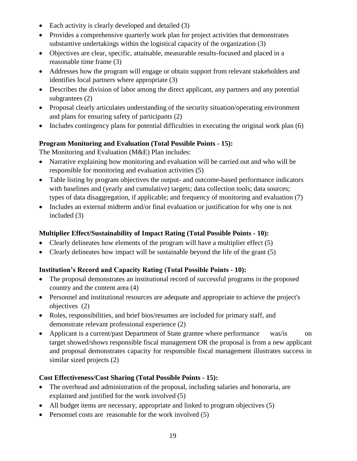- Each activity is clearly developed and detailed (3)
- Provides a comprehensive quarterly work plan for project activities that demonstrates substantive undertakings within the logistical capacity of the organization (3)
- Objectives are clear, specific, attainable, measurable results-focused and placed in a reasonable time frame (3)
- Addresses how the program will engage or obtain support from relevant stakeholders and identifies local partners where appropriate (3)
- Describes the division of labor among the direct applicant, any partners and any potential subgrantees (2)
- Proposal clearly articulates understanding of the security situation/operating environment and plans for ensuring safety of participants (2)
- $\bullet$  Includes contingency plans for potential difficulties in executing the original work plan (6)

### **Program Monitoring and Evaluation (Total Possible Points - 15):**

The Monitoring and Evaluation (M&E) Plan includes:

- Narrative explaining how monitoring and evaluation will be carried out and who will be responsible for monitoring and evaluation activities (5)
- Table listing by program objectives the output- and outcome-based performance indicators with baselines and (yearly and cumulative) targets; data collection tools; data sources; types of data disaggregation, if applicable; and frequency of monitoring and evaluation (7)
- Includes an external midterm and/or final evaluation or justification for why one is not included (3)

# **Multiplier Effect/Sustainability of Impact Rating (Total Possible Points - 10):**

- Clearly delineates how elements of the program will have a multiplier effect  $(5)$
- Clearly delineates how impact will be sustainable beyond the life of the grant (5)

### **Institution's Record and Capacity Rating (Total Possible Points - 10):**

- The proposal demonstrates an institutional record of successful programs in the proposed country and the content area (4)
- Personnel and institutional resources are adequate and appropriate to achieve the project's objectives (2)
- Roles, responsibilities, and brief bios/resumes are included for primary staff, and demonstrate relevant professional experience (2)
- Applicant is a current/past Department of State grantee where performance was/is on target showed/shows responsible fiscal management OR the proposal is from a new applicant and proposal demonstrates capacity for responsible fiscal management illustrates success in similar sized projects (2)

### **Cost Effectiveness/Cost Sharing (Total Possible Points - 15):**

- The overhead and administration of the proposal, including salaries and honoraria, are explained and justified for the work involved (5)
- All budget items are necessary, appropriate and linked to program objectives (5)
- Personnel costs are reasonable for the work involved (5)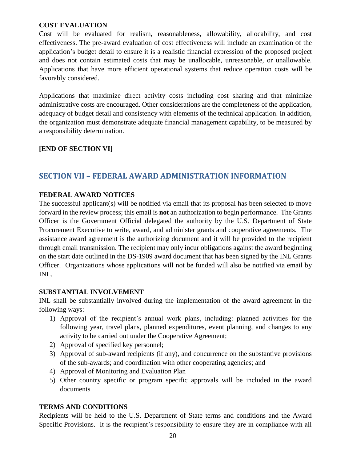#### **COST EVALUATION**

Cost will be evaluated for realism, reasonableness, allowability, allocability, and cost effectiveness. The pre-award evaluation of cost effectiveness will include an examination of the application's budget detail to ensure it is a realistic financial expression of the proposed project and does not contain estimated costs that may be unallocable, unreasonable, or unallowable. Applications that have more efficient operational systems that reduce operation costs will be favorably considered.

Applications that maximize direct activity costs including cost sharing and that minimize administrative costs are encouraged. Other considerations are the completeness of the application, adequacy of budget detail and consistency with elements of the technical application. In addition, the organization must demonstrate adequate financial management capability, to be measured by a responsibility determination.

#### **[END OF SECTION VI]**

# <span id="page-19-0"></span>**SECTION VII – FEDERAL AWARD ADMINISTRATION INFORMATION**

#### **FEDERAL AWARD NOTICES**

The successful applicant(s) will be notified via email that its proposal has been selected to move forward in the review process; this email is **not** an authorization to begin performance. The Grants Officer is the Government Official delegated the authority by the U.S. Department of State Procurement Executive to write, award, and administer grants and cooperative agreements. The assistance award agreement is the authorizing document and it will be provided to the recipient through email transmission. The recipient may only incur obligations against the award beginning on the start date outlined in the DS-1909 award document that has been signed by the INL Grants Officer. Organizations whose applications will not be funded will also be notified via email by INL.

#### **SUBSTANTIAL INVOLVEMENT**

INL shall be substantially involved during the implementation of the award agreement in the following ways:

- 1) Approval of the recipient's annual work plans, including: planned activities for the following year, travel plans, planned expenditures, event planning, and changes to any activity to be carried out under the Cooperative Agreement;
- 2) Approval of specified key personnel;
- 3) Approval of sub-award recipients (if any), and concurrence on the substantive provisions of the sub-awards; and coordination with other cooperating agencies; and
- 4) Approval of Monitoring and Evaluation Plan
- 5) Other country specific or program specific approvals will be included in the award documents

#### **TERMS AND CONDITIONS**

Recipients will be held to the U.S. Department of State terms and conditions and the Award Specific Provisions. It is the recipient's responsibility to ensure they are in compliance with all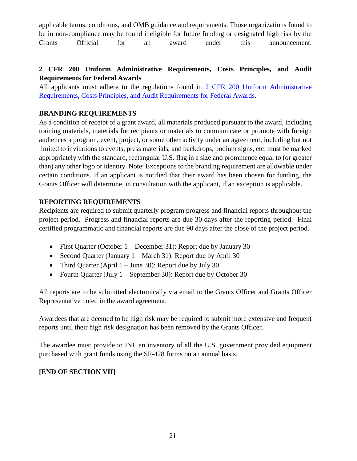applicable terms, conditions, and OMB guidance and requirements. Those organizations found to be in non-compliance may be found ineligible for future funding or designated high risk by the Grants Official for an award under this announcement.

### **2 CFR 200 Uniform Administrative Requirements, Costs Principles, and Audit Requirements for Federal Awards**

All applicants must adhere to the regulations found in [2 CFR 200 Uniform Administrative](http://www.ecfr.gov/cgi-bin/text-idx?tpl=/ecfrbrowse/Title02/2cfr200_main_02.tpl)  [Requirements, Costs Principles, and Audit Requirements for Federal Awards.](http://www.ecfr.gov/cgi-bin/text-idx?tpl=/ecfrbrowse/Title02/2cfr200_main_02.tpl)

### **BRANDING REQUIREMENTS**

As a condition of receipt of a grant award, all materials produced pursuant to the award, including training materials, materials for recipients or materials to communicate or promote with foreign audiences a program, event, project, or some other activity under an agreement, including but not limited to invitations to events, press materials, and backdrops, podium signs, etc. must be marked appropriately with the standard, rectangular U.S. flag in a size and prominence equal to (or greater than) any other logo or identity. Note: Exceptions to the branding requirement are allowable under certain conditions. If an applicant is notified that their award has been chosen for funding, the Grants Officer will determine, in consultation with the applicant, if an exception is applicable.

# **REPORTING REQUIREMENTS**

Recipients are required to submit quarterly program progress and financial reports throughout the project period. Progress and financial reports are due 30 days after the reporting period. Final certified programmatic and financial reports are due 90 days after the close of the project period.

- First Quarter (October 1 December 31): Report due by January 30
- Second Quarter (January  $1 \text{March } 31$ ): Report due by April 30
- Third Quarter (April  $1 -$  June 30): Report due by July 30
- Fourth Quarter (July  $1 -$  September 30): Report due by October 30

All reports are to be submitted electronically via email to the Grants Officer and Grants Officer Representative noted in the award agreement.

Awardees that are deemed to be high risk may be required to submit more extensive and frequent reports until their high risk designation has been removed by the Grants Officer.

The awardee must provide to INL an inventory of all the U.S. government provided equipment purchased with grant funds using the SF-428 forms on an annual basis.

# **[END OF SECTION VII]**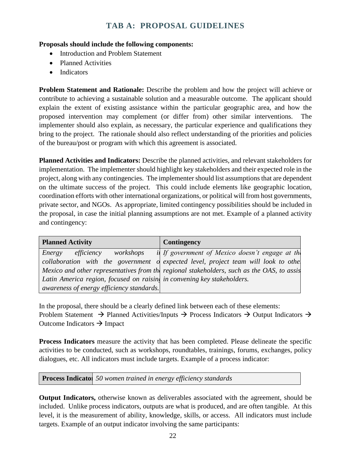# **TAB A: PROPOSAL GUIDELINES**

#### <span id="page-21-0"></span>**Proposals should include the following components:**

- Introduction and Problem Statement
- Planned Activities
- Indicators

**Problem Statement and Rationale:** Describe the problem and how the project will achieve or contribute to achieving a sustainable solution and a measurable outcome. The applicant should explain the extent of existing assistance within the particular geographic area, and how the proposed intervention may complement (or differ from) other similar interventions. The implementer should also explain, as necessary, the particular experience and qualifications they bring to the project. The rationale should also reflect understanding of the priorities and policies of the bureau/post or program with which this agreement is associated.

**Planned Activities and Indicators:** Describe the planned activities, and relevant stakeholders for implementation. The implementer should highlight key stakeholders and their expected role in the project, along with any contingencies. The implementer should list assumptions that are dependent on the ultimate success of the project. This could include elements like geographic location, coordination efforts with other international organizations, or political will from host governments, private sector, and NGOs. As appropriate, limited contingency possibilities should be included in the proposal, in case the initial planning assumptions are not met. Example of a planned activity and contingency:

| <b>Planned Activity</b>                                                 | Contingency                                                                                |
|-------------------------------------------------------------------------|--------------------------------------------------------------------------------------------|
| Energy efficiency workshops                                             | <i>if</i> If government of Mexico doesn't engage at the                                    |
|                                                                         | collaboration with the government of expected level, project team will look to othe        |
|                                                                         | Mexico and other representatives from the regional stakeholders, such as the OAS, to assis |
| Latin America region, focused on raisin, in convening key stakeholders. |                                                                                            |
| awareness of energy efficiency standards.                               |                                                                                            |

In the proposal, there should be a clearly defined link between each of these elements: Problem Statement  $\rightarrow$  Planned Activities/Inputs  $\rightarrow$  Process Indicators  $\rightarrow$  Output Indicators  $\rightarrow$ Outcome Indicators  $\rightarrow$  Impact

**Process Indicators** measure the activity that has been completed. Please delineate the specific activities to be conducted, such as workshops, roundtables, trainings, forums, exchanges, policy dialogues, etc. All indicators must include targets. Example of a process indicator:

**Process Indicato** 50 women trained in energy efficiency standards

**Output Indicators,** otherwise known as deliverables associated with the agreement, should be included. Unlike process indicators, outputs are what is produced, and are often tangible. At this level, it is the measurement of ability, knowledge, skills, or access. All indicators must include targets. Example of an output indicator involving the same participants: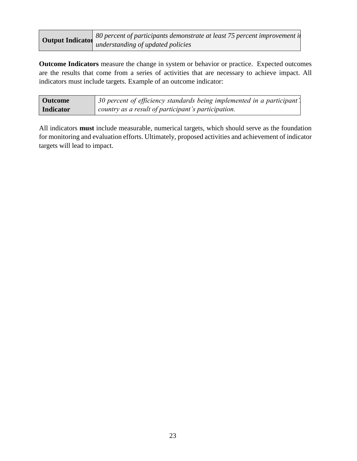| <b>Output Indicator</b> | 80 percent of participants demonstrate at least 75 percent improvement in |
|-------------------------|---------------------------------------------------------------------------|
|                         | understanding of updated policies                                         |

**Outcome Indicators** measure the change in system or behavior or practice. Expected outcomes are the results that come from a series of activities that are necessary to achieve impact. All indicators must include targets. Example of an outcome indicator:

| <b>Outcome</b>   | 30 percent of efficiency standards being implemented in a participant'. |
|------------------|-------------------------------------------------------------------------|
| <b>Indicator</b> | country as a result of participant's participation.                     |

All indicators **must** include measurable, numerical targets, which should serve as the foundation for monitoring and evaluation efforts. Ultimately, proposed activities and achievement of indicator targets will lead to impact.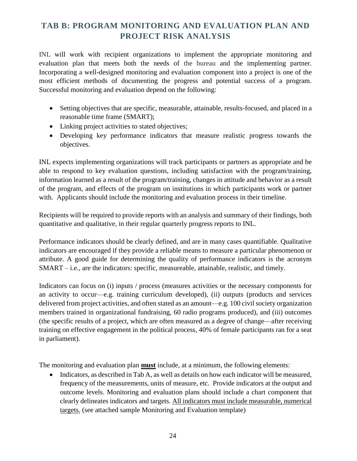# <span id="page-23-0"></span>**TAB B: PROGRAM MONITORING AND EVALUATION PLAN AND PROJECT RISK ANALYSIS**

INL will work with recipient organizations to implement the appropriate monitoring and evaluation plan that meets both the needs of the bureau and the implementing partner. Incorporating a well-designed monitoring and evaluation component into a project is one of the most efficient methods of documenting the progress and potential success of a program. Successful monitoring and evaluation depend on the following:

- Setting objectives that are specific, measurable, attainable, results-focused, and placed in a reasonable time frame (SMART);
- Linking project activities to stated objectives;
- Developing key performance indicators that measure realistic progress towards the objectives.

INL expects implementing organizations will track participants or partners as appropriate and be able to respond to key evaluation questions, including satisfaction with the program/training, information learned as a result of the program/training, changes in attitude and behavior as a result of the program, and effects of the program on institutions in which participants work or partner with. Applicants should include the monitoring and evaluation process in their timeline.

Recipients will be required to provide reports with an analysis and summary of their findings, both quantitative and qualitative, in their regular quarterly progress reports to INL.

Performance indicators should be clearly defined, and are in many cases quantifiable. Qualitative indicators are encouraged if they provide a reliable means to measure a particular phenomenon or attribute. A good guide for determining the quality of performance indicators is the acronym SMART – i.e., are the indicators: specific, measureable, attainable, realistic, and timely.

Indicators can focus on (i) inputs / process (measures activities or the necessary components for an activity to occur—e.g. training curriculum developed), (ii) outputs (products and services delivered from project activities, and often stated as an amount—e.g. 100 civil society organization members trained in organizational fundraising, 60 radio programs produced), and (iii) outcomes (the specific results of a project, which are often measured as a degree of change—after receiving training on effective engagement in the political process, 40% of female participants ran for a seat in parliament).

The monitoring and evaluation plan **must** include, at a minimum, the following elements:

• Indicators, as described in Tab A, as well as details on how each indicator will be measured, frequency of the measurements, units of measure, etc. Provide indicators at the output and outcome levels. Monitoring and evaluation plans should include a chart component that clearly delineates indicators and targets. All indicators must include measurable, numerical targets. (see attached sample Monitoring and Evaluation template)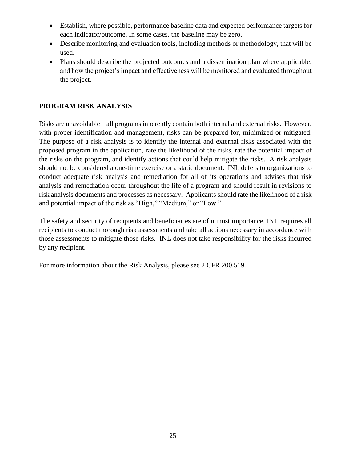- Establish, where possible, performance baseline data and expected performance targets for each indicator/outcome. In some cases, the baseline may be zero.
- Describe monitoring and evaluation tools, including methods or methodology, that will be used.
- Plans should describe the projected outcomes and a dissemination plan where applicable, and how the project's impact and effectiveness will be monitored and evaluated throughout the project.

#### **PROGRAM RISK ANALYSIS**

Risks are unavoidable – all programs inherently contain both internal and external risks. However, with proper identification and management, risks can be prepared for, minimized or mitigated. The purpose of a risk analysis is to identify the internal and external risks associated with the proposed program in the application, rate the likelihood of the risks, rate the potential impact of the risks on the program, and identify actions that could help mitigate the risks. A risk analysis should not be considered a one-time exercise or a static document. INL defers to organizations to conduct adequate risk analysis and remediation for all of its operations and advises that risk analysis and remediation occur throughout the life of a program and should result in revisions to risk analysis documents and processes as necessary. Applicants should rate the likelihood of a risk and potential impact of the risk as "High," "Medium," or "Low."

The safety and security of recipients and beneficiaries are of utmost importance. INL requires all recipients to conduct thorough risk assessments and take all actions necessary in accordance with those assessments to mitigate those risks. INL does not take responsibility for the risks incurred by any recipient.

For more information about the Risk Analysis, please see 2 CFR 200.519.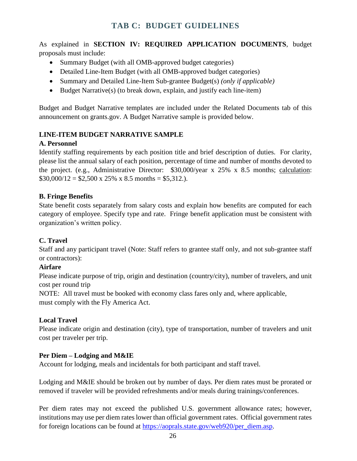<span id="page-25-0"></span>As explained in **SECTION IV: REQUIRED APPLICATION DOCUMENTS**, budget proposals must include:

- Summary Budget (with all OMB-approved budget categories)
- Detailed Line-Item Budget (with all OMB-approved budget categories)
- Summary and Detailed Line-Item Sub-grantee Budget(s) *(only if applicable)*
- Budget Narrative(s) (to break down, explain, and justify each line-item)

Budget and Budget Narrative templates are included under the Related Documents tab of this announcement on grants.gov. A Budget Narrative sample is provided below.

# **LINE-ITEM BUDGET NARRATIVE SAMPLE**

### **A. Personnel**

Identify staffing requirements by each position title and brief description of duties. For clarity, please list the annual salary of each position, percentage of time and number of months devoted to the project. (e.g., Administrative Director: \$30,000/year x 25% x 8.5 months; calculation:  $$30,000/12 = $2,500 \times 25\% \times 8.5 \text{ months} = $5,312.$ ).

### **B. Fringe Benefits**

State benefit costs separately from salary costs and explain how benefits are computed for each category of employee. Specify type and rate. Fringe benefit application must be consistent with organization's written policy.

### **C. Travel**

Staff and any participant travel (Note: Staff refers to grantee staff only, and not sub-grantee staff or contractors):

### **Airfare**

Please indicate purpose of trip, origin and destination (country/city), number of travelers, and unit cost per round trip

NOTE: All travel must be booked with economy class fares only and, where applicable, must comply with the Fly America Act.

### **Local Travel**

Please indicate origin and destination (city), type of transportation, number of travelers and unit cost per traveler per trip.

# **Per Diem – Lodging and M&IE**

Account for lodging, meals and incidentals for both participant and staff travel.

Lodging and M&IE should be broken out by number of days. Per diem rates must be prorated or removed if traveler will be provided refreshments and/or meals during trainings/conferences.

Per diem rates may not exceed the published U.S. government allowance rates; however, institutions may use per diem rates lower than official government rates. Official government rates for foreign locations can be found at [https://aoprals.state.gov/web920/per\\_diem.asp.](https://aoprals.state.gov/web920/per_diem.asp)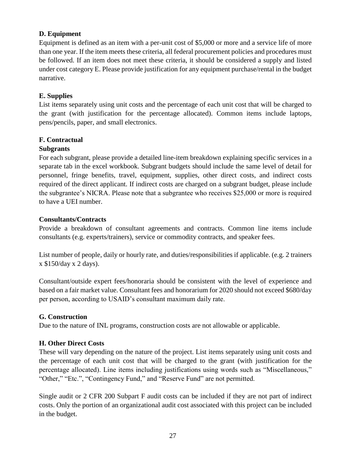#### **D. Equipment**

Equipment is defined as an item with a per-unit cost of \$5,000 or more and a service life of more than one year. If the item meets these criteria, all federal procurement policies and procedures must be followed. If an item does not meet these criteria, it should be considered a supply and listed under cost category E. Please provide justification for any equipment purchase/rental in the budget narrative.

#### **E. Supplies**

List items separately using unit costs and the percentage of each unit cost that will be charged to the grant (with justification for the percentage allocated). Common items include laptops, pens/pencils, paper, and small electronics.

### **F. Contractual**

#### **Subgrants**

For each subgrant, please provide a detailed line-item breakdown explaining specific services in a separate tab in the excel workbook. Subgrant budgets should include the same level of detail for personnel, fringe benefits, travel, equipment, supplies, other direct costs, and indirect costs required of the direct applicant. If indirect costs are charged on a subgrant budget, please include the subgrantee's NICRA. Please note that a subgrantee who receives \$25,000 or more is required to have a UEI number.

#### **Consultants/Contracts**

Provide a breakdown of consultant agreements and contracts. Common line items include consultants (e.g. experts/trainers), service or commodity contracts, and speaker fees.

List number of people, daily or hourly rate, and duties/responsibilities if applicable. (e.g. 2 trainers x \$150/day x 2 days).

Consultant/outside expert fees/honoraria should be consistent with the level of experience and based on a fair market value. Consultant fees and honorarium for 2020 should not exceed \$680/day per person, according to USAID's consultant maximum daily rate.

#### **G. Construction**

Due to the nature of INL programs, construction costs are not allowable or applicable.

#### **H. Other Direct Costs**

These will vary depending on the nature of the project. List items separately using unit costs and the percentage of each unit cost that will be charged to the grant (with justification for the percentage allocated). Line items including justifications using words such as "Miscellaneous," "Other," "Etc.", "Contingency Fund," and "Reserve Fund" are not permitted.

Single audit or 2 CFR 200 Subpart F audit costs can be included if they are not part of indirect costs. Only the portion of an organizational audit cost associated with this project can be included in the budget.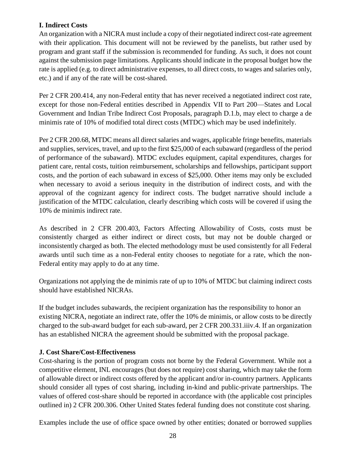#### **I. Indirect Costs**

An organization with a NICRA must include a copy of their negotiated indirect cost-rate agreement with their application. This document will not be reviewed by the panelists, but rather used by program and grant staff if the submission is recommended for funding. As such, it does not count against the submission page limitations. Applicants should indicate in the proposal budget how the rate is applied (e.g. to direct administrative expenses, to all direct costs, to wages and salaries only, etc.) and if any of the rate will be cost-shared.

Per 2 CFR 200.414, any non-Federal entity that has never received a negotiated indirect cost rate, except for those non-Federal entities described in Appendix VII to Part 200—States and Local Government and Indian Tribe Indirect Cost Proposals, paragraph D.1.b, may elect to charge a de minimis rate of 10% of modified total direct costs (MTDC) which may be used indefinitely.

Per 2 CFR 200.68, MTDC means all direct salaries and wages, applicable fringe benefits, materials and supplies, services, travel, and up to the first \$25,000 of each subaward (regardless of the period of performance of the subaward). MTDC excludes equipment, capital expenditures, charges for patient care, rental costs, tuition reimbursement, scholarships and fellowships, participant support costs, and the portion of each subaward in excess of \$25,000. Other items may only be excluded when necessary to avoid a serious inequity in the distribution of indirect costs, and with the approval of the cognizant agency for indirect costs. The budget narrative should include a justification of the MTDC calculation, clearly describing which costs will be covered if using the 10% de minimis indirect rate.

As described in 2 CFR 200.403, Factors Affecting Allowability of Costs, costs must be consistently charged as either indirect or direct costs, but may not be double charged or inconsistently charged as both. The elected methodology must be used consistently for all Federal awards until such time as a non-Federal entity chooses to negotiate for a rate, which the non-Federal entity may apply to do at any time.

Organizations not applying the de minimis rate of up to 10% of MTDC but claiming indirect costs should have established NICRAs.

If the budget includes subawards, the recipient organization has the responsibility to honor an existing NICRA, negotiate an indirect rate, offer the 10% de minimis, or allow costs to be directly charged to the sub-award budget for each sub-award, per 2 CFR 200.331.iiiv.4. If an organization has an established NICRA the agreement should be submitted with the proposal package.

### **J. Cost Share/Cost-Effectiveness**

Cost-sharing is the portion of program costs not borne by the Federal Government. While not a competitive element, INL encourages (but does not require) cost sharing, which may take the form of allowable direct or indirect costs offered by the applicant and/or in-country partners. Applicants should consider all types of cost sharing, including in-kind and public-private partnerships. The values of offered cost-share should be reported in accordance with (the applicable cost principles outlined in) 2 CFR 200.306. Other United States federal funding does not constitute cost sharing.

Examples include the use of office space owned by other entities; donated or borrowed supplies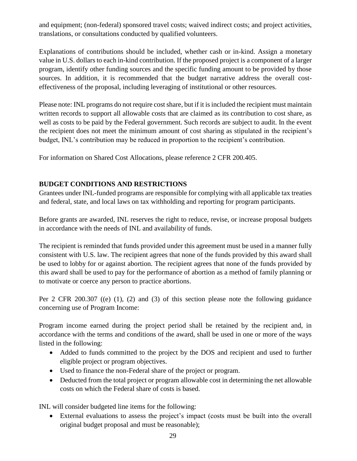and equipment; (non-federal) sponsored travel costs; waived indirect costs; and project activities, translations, or consultations conducted by qualified volunteers.

Explanations of contributions should be included, whether cash or in-kind. Assign a monetary value in U.S. dollars to each in-kind contribution. If the proposed project is a component of a larger program, identify other funding sources and the specific funding amount to be provided by those sources. In addition, it is recommended that the budget narrative address the overall costeffectiveness of the proposal, including leveraging of institutional or other resources.

Please note: INL programs do not require cost share, but if it is included the recipient must maintain written records to support all allowable costs that are claimed as its contribution to cost share, as well as costs to be paid by the Federal government. Such records are subject to audit. In the event the recipient does not meet the minimum amount of cost sharing as stipulated in the recipient's budget, INL's contribution may be reduced in proportion to the recipient's contribution.

For information on Shared Cost Allocations, please reference 2 CFR 200.405.

### **BUDGET CONDITIONS AND RESTRICTIONS**

Grantees under INL-funded programs are responsible for complying with all applicable tax treaties and federal, state, and local laws on tax withholding and reporting for program participants.

Before grants are awarded, INL reserves the right to reduce, revise, or increase proposal budgets in accordance with the needs of INL and availability of funds.

The recipient is reminded that funds provided under this agreement must be used in a manner fully consistent with U.S. law. The recipient agrees that none of the funds provided by this award shall be used to lobby for or against abortion. The recipient agrees that none of the funds provided by this award shall be used to pay for the performance of abortion as a method of family planning or to motivate or coerce any person to practice abortions.

Per 2 CFR 200.307 ((e) (1), (2) and (3) of this section please note the following guidance concerning use of Program Income:

Program income earned during the project period shall be retained by the recipient and, in accordance with the terms and conditions of the award, shall be used in one or more of the ways listed in the following:

- Added to funds committed to the project by the DOS and recipient and used to further eligible project or program objectives.
- Used to finance the non-Federal share of the project or program.
- Deducted from the total project or program allowable cost in determining the net allowable costs on which the Federal share of costs is based.

INL will consider budgeted line items for the following:

 External evaluations to assess the project's impact (costs must be built into the overall original budget proposal and must be reasonable);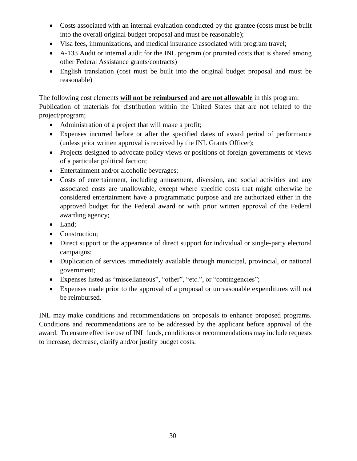- Costs associated with an internal evaluation conducted by the grantee (costs must be built into the overall original budget proposal and must be reasonable);
- Visa fees, immunizations, and medical insurance associated with program travel;
- A-133 Audit or internal audit for the INL program (or prorated costs that is shared among other Federal Assistance grants/contracts)
- English translation (cost must be built into the original budget proposal and must be reasonable)

The following cost elements **will not be reimbursed** and **are not allowable** in this program: Publication of materials for distribution within the United States that are not related to the project/program;

- Administration of a project that will make a profit;
- Expenses incurred before or after the specified dates of award period of performance (unless prior written approval is received by the INL Grants Officer);
- Projects designed to advocate policy views or positions of foreign governments or views of a particular political faction;
- Entertainment and/or alcoholic beverages;
- Costs of entertainment, including amusement, diversion, and social activities and any associated costs are unallowable, except where specific costs that might otherwise be considered entertainment have a programmatic purpose and are authorized either in the approved budget for the Federal award or with prior written approval of the Federal awarding agency;
- Land;
- Construction;
- Direct support or the appearance of direct support for individual or single-party electoral campaigns;
- Duplication of services immediately available through municipal, provincial, or national government;
- Expenses listed as "miscellaneous", "other", "etc.", or "contingencies";
- Expenses made prior to the approval of a proposal or unreasonable expenditures will not be reimbursed.

INL may make conditions and recommendations on proposals to enhance proposed programs. Conditions and recommendations are to be addressed by the applicant before approval of the award. To ensure effective use of INL funds, conditions or recommendations may include requests to increase, decrease, clarify and/or justify budget costs.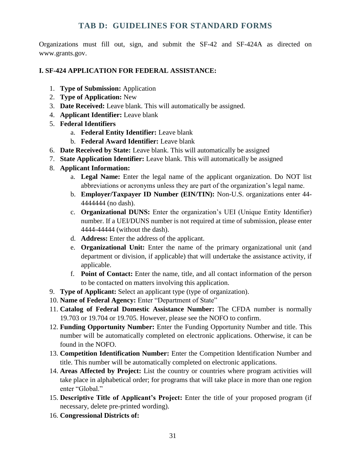# **TAB D: GUIDELINES FOR STANDARD FORMS**

<span id="page-30-0"></span>Organizations must fill out, sign, and submit the SF-42 and SF-424A as directed on www.grants.gov.

#### **I. SF-424 APPLICATION FOR FEDERAL ASSISTANCE:**

- 1. **Type of Submission:** Application
- 2. **Type of Application:** New
- 3. **Date Received:** Leave blank. This will automatically be assigned.
- 4. **Applicant Identifier:** Leave blank
- 5. **Federal Identifiers** 
	- a. **Federal Entity Identifier:** Leave blank
	- b. **Federal Award Identifier:** Leave blank
- 6. **Date Received by State:** Leave blank. This will automatically be assigned
- 7. **State Application Identifier:** Leave blank. This will automatically be assigned
- 8. **Applicant Information:** 
	- a. **Legal Name:** Enter the legal name of the applicant organization. Do NOT list abbreviations or acronyms unless they are part of the organization's legal name.
	- b. **Employer/Taxpayer ID Number (EIN/TIN):** Non-U.S. organizations enter 44- 4444444 (no dash).
	- c. **Organizational DUNS:** Enter the organization's UEI (Unique Entity Identifier) number. If a UEI/DUNS number is not required at time of submission, please enter 4444-44444 (without the dash).
	- d. **Address:** Enter the address of the applicant.
	- e. **Organizational Unit:** Enter the name of the primary organizational unit (and department or division, if applicable) that will undertake the assistance activity, if applicable.
	- f. **Point of Contact:** Enter the name, title, and all contact information of the person to be contacted on matters involving this application.
- 9. **Type of Applicant:** Select an applicant type (type of organization).
- 10. **Name of Federal Agency:** Enter "Department of State"
- 11. **Catalog of Federal Domestic Assistance Number:** The CFDA number is normally 19.703 or 19.704 or 19.705. However, please see the NOFO to confirm.
- 12. **Funding Opportunity Number:** Enter the Funding Opportunity Number and title. This number will be automatically completed on electronic applications. Otherwise, it can be found in the NOFO.
- 13. **Competition Identification Number:** Enter the Competition Identification Number and title. This number will be automatically completed on electronic applications.
- 14. **Areas Affected by Project:** List the country or countries where program activities will take place in alphabetical order; for programs that will take place in more than one region enter "Global."
- 15. **Descriptive Title of Applicant's Project:** Enter the title of your proposed program (if necessary, delete pre-printed wording).
- 16. **Congressional Districts of:**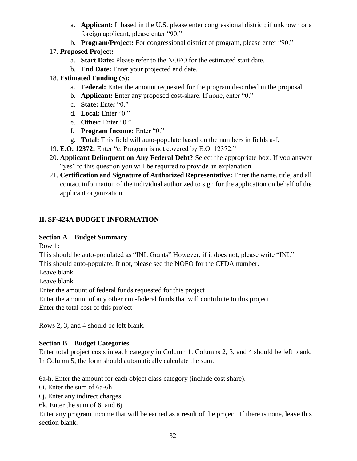- a. **Applicant:** If based in the U.S. please enter congressional district; if unknown or a foreign applicant, please enter "90."
- b. **Program/Project:** For congressional district of program, please enter "90."

# 17. **Proposed Project:**

- a. **Start Date:** Please refer to the NOFO for the estimated start date.
- b. **End Date:** Enter your projected end date.

# 18. **Estimated Funding (\$):**

- a. **Federal:** Enter the amount requested for the program described in the proposal.
- b. **Applicant:** Enter any proposed cost-share. If none, enter "0."
- c. **State:** Enter "0."
- d. **Local:** Enter "0."
- e. **Other:** Enter "0."
- f. **Program Income:** Enter "0."
- g. **Total:** This field will auto-populate based on the numbers in fields a-f.
- 19. **E.O. 12372:** Enter "c. Program is not covered by E.O. 12372."
- 20. **Applicant Delinquent on Any Federal Debt?** Select the appropriate box. If you answer "yes" to this question you will be required to provide an explanation.
- 21. **Certification and Signature of Authorized Representative:** Enter the name, title, and all contact information of the individual authorized to sign for the application on behalf of the applicant organization.

# **II. SF-424A BUDGET INFORMATION**

### **Section A – Budget Summary**

Row 1:

This should be auto-populated as "INL Grants" However, if it does not, please write "INL" This should auto-populate. If not, please see the NOFO for the CFDA number.

Leave blank.

Leave blank.

Enter the amount of federal funds requested for this project

Enter the amount of any other non-federal funds that will contribute to this project.

Enter the total cost of this project

Rows 2, 3, and 4 should be left blank.

### **Section B – Budget Categories**

Enter total project costs in each category in Column 1. Columns 2, 3, and 4 should be left blank. In Column 5, the form should automatically calculate the sum.

6a-h. Enter the amount for each object class category (include cost share).

6i. Enter the sum of 6a-6h

6j. Enter any indirect charges

6k. Enter the sum of 6i and 6j

Enter any program income that will be earned as a result of the project. If there is none, leave this section blank.